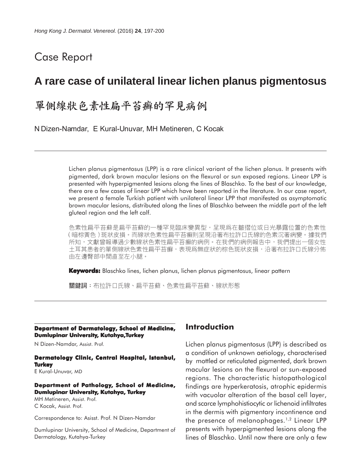## Case Report

## **A rare case of unilateral linear lichen planus pigmentosus**

# 單側線狀色素性扁平苔癬的罕見病例

N Dizen-Namdar, E Kural-Unuvar, MH Metineren, C Kocak

Lichen planus pigmentosus (LPP) is a rare clinical variant of the lichen planus. It presents with pigmented, dark brown macular lesions on the flexural or sun exposed regions. Linear LPP is presented with hyperpigmented lesions along the lines of Blaschko. To the best of our knowledge, there are a few cases of linear LPP which have been reported in the literature. In our case report, we present a female Turkish patient with unilateral linear LPP that manifested as asymptomatic brown macular lesions, distributed along the lines of Blaschko between the middle part of the left gluteal region and the left calf.

色素性扁平苔蘚是扁平苔蘚的一種罕見臨床變異型,呈現爲在皺摺位或日光暴露位置的色素性 (暗棕黃色)斑狀皮損。而線狀色素性扁平苔癬則呈現沿著布拉許口氏線的色素沉著病變。據我們 所知,文獻曾報導過少數線狀色素性扁平苔癬的病例。在我們的病例報告中,我們提出一個女性 土耳其患者的單側線狀色素性扁平苔癬,表現爲無症狀的棕色斑狀皮損,沿著布拉許口氏線分佈 由左邊臀部中間直至左小腿。

**Keywords:** Blaschko lines, lichen planus, lichen planus pigmentosus, linear pattern

關鍵詞:布拉許口氏線、扁平苔蘚、色素性扁平苔蘚、線狀形態

#### **Department of Dermatology, School of Medicine, Dumlupinar University, Kutahya,Turkey**

N Dizen-Namdar, Assist. Prof.

### **Dermatology Clinic, Central Hospital, Istanbul, Turkey**

E Kural-Unuvar, MD

#### **Department of Pathology, School of Medicine, Dumlupinar University, Kutahya, Turkey**

MH Metineren, Assist. Prof. C Kocak, Assist. Prof.

Correspondence to: Asisst. Prof. N Dizen-Namdar

Dumlupinar University, School of Medicine, Department of Dermatology, Kutahya-Turkey

## **Introduction**

Lichen planus pigmentosus (LPP) is described as a condition of unknown aetiology, characterised by mottled or reticulated pigmented, dark brown macular lesions on the flexural or sun-exposed regions. The characteristic histopathological findings are hyperkeratosis, atrophic epidermis with vacuolar alteration of the basal cell layer, and scarce lymphohistiocytic or lichenoid infiltrates in the dermis with pigmentary incontinence and the presence of melanophages.<sup>1,2</sup> Linear LPP presents with hyperpigmented lesions along the lines of Blaschko. Until now there are only a few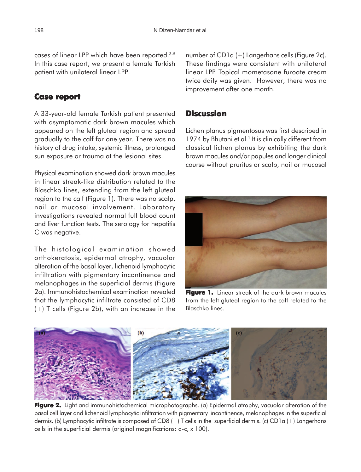cases of linear LPP which have been reported.3-5 In this case report, we present a female Turkish patient with unilateral linear LPP.

### **Case report report**

A 33-year-old female Turkish patient presented with asymptomatic dark brown macules which appeared on the left gluteal region and spread gradually to the calf for one year. There was no history of drug intake, systemic illness, prolonged sun exposure or trauma at the lesional sites.

Physical examination showed dark brown macules in linear streak-like distribution related to the Blaschko lines, extending from the left gluteal region to the calf (Figure 1). There was no scalp, nail or mucosal involvement. Laboratory investigations revealed normal full blood count and liver function tests. The serology for hepatitis C was negative.

The histological examination showed orthokeratosis, epidermal atrophy, vacuolar alteration of the basal layer, lichenoid lymphocytic infiltration with pigmentary incontinence and melanophages in the superficial dermis (Figure 2a). Immunohistochemical examination revealed that the lymphocytic infiltrate consisted of CD8 (+) T cells (Figure 2b), with an increase in the number of CD1a (+) Langerhans cells (Figure 2c). These findings were consistent with unilateral linear LPP. Topical mometasone furoate cream twice daily was given. However, there was no improvement after one month.

## **Discussion**

Lichen planus pigmentosus was first described in 1974 by Bhutani et al. $<sup>1</sup>$  It is clinically different from</sup> classical lichen planus by exhibiting the dark brown macules and/or papules and longer clinical course without pruritus or scalp, nail or mucosal



**Figure 1.** Linear streak of the dark brown macules from the left gluteal region to the calf related to the Blaschko lines.



**Figure 2. Figure 2.** Light and immunohistochemical microphotographs. (a) Epidermal atrophy, vacuolar alteration of the basal cell layer and lichenoid lymphocytic infiltration with pigmentary incontinence, melanophages in the superficial dermis. (b) Lymphocytic infiltrate is composed of CD8 (+) T cells in the superficial dermis. (c) CD1a (+) Langerhans cells in the superficial dermis (original magnifications: a-c, x 100).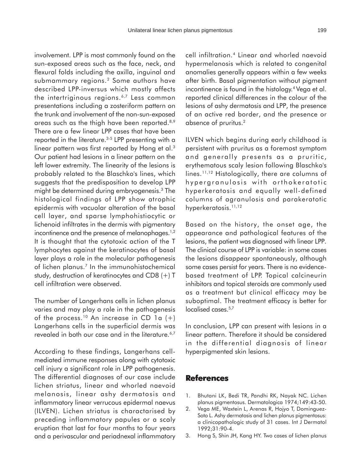involvement. LPP is most commonly found on the sun-exposed areas such as the face, neck, and flexural folds including the axilla, inguinal and submammary regions.<sup>2</sup> Some authors have described LPP-inversus which mostly affects the intertriginous regions.<sup>6,7</sup> Less common presentations including a zosteriform pattern on the trunk and involvement of the non-sun-exposed areas such as the thigh have been reported.<sup>8,9</sup> There are a few linear LPP cases that have been reported in the literature.<sup>3-5</sup> LPP presenting with a linear pattern was first reported by Hong et al.<sup>3</sup> Our patient had lesions in a linear pattern on the left lower extremity. The linearity of the lesions is probably related to the Blaschko's lines, which suggests that the predisposition to develop LPP might be determined during embryogenesis.3 The histological findings of LPP show atrophic epidermis with vacuolar alteration of the basal cell layer, and sparse lymphohistiocytic or lichenoid infiltrates in the dermis with pigmentary incontinence and the presence of melanophages.<sup>1,2</sup> It is thought that the cytotoxic action of the T lymphocytes against the keratinocytes of basal layer plays a role in the molecular pathogenesis of lichen planus.7 In the immunohistochemical study, destruction of keratinocytes and CD8 (+) T cell infiltration were observed.

The number of Langerhans cells in lichen planus varies and may play a role in the pathogenesis of the process.<sup>10</sup> An increase in CD 1a  $(+)$ Langerhans cells in the superficial dermis was revealed in both our case and in the literature.<sup>6,7</sup>

According to these findings, Langerhans cellmediated immune responses along with cytotoxic cell injury a significant role in LPP pathogenesis. The differential diagnoses of our case include lichen striatus, linear and whorled naevoid melanosis, linear ashy dermatosis and inflammatory linear verrucous epidermal naevus (ILVEN). Lichen striatus is charactarised by preceding inflammatory papules or a scaly eruption that last for four months to four years and a perivascular and periadnexal inflammatory cell infiltration.4 Linear and whorled naevoid hypermelanosis which is related to congenital anomalies generally appears within a few weeks after birth. Basal pigmentation without pigment incontinence is found in the histology.<sup>4</sup> Vega et al. reported clinical differences in the colour of the lesions of ashy dermatosis and LPP, the presence of an active red border, and the presence or absence of pruritus.2

ILVEN which begins during early childhood is persistent with pruritus as a foremost symptom and generally presents as a pruritic, erythematous scaly lesion following Blaschko's lines.<sup>11,12</sup> Histologically, there are columns of hypergranulosis with orthokeratotic hyperkeratosis and equally well-defined columns of agranulosis and parakeratotic hyperkeratosis.<sup>11,12</sup>

Based on the history, the onset age, the appearance and pathological features of the lesions, the patient was diagnosed with linear LPP. The clinical course of LPP is variable: in some cases the lesions disappear spontaneously, although some cases persist for years. There is no evidencebased treatment of LPP. Topical calcineurin inhibitors and topical steroids are commonly used as a treatment but clinical efficacy may be suboptimal. The treatment efficacy is better for localised cases.<sup>5,7</sup>

In conclusion, LPP can present with lesions in a linear pattern. Therefore it should be considered in the differential diagnosis of linear hyperpigmented skin lesions.

### **References**

- 1. Bhutani LK, Bedi TR, Pandhi RK, Nayak NC. Lichen planus pigmentosus. Dermatologica 1974;149:43-50.
- 2. Vega ME, Waxtein L, Arenas R, Hojyo T, Dominguez-Soto L. Ashy dermatosis and lichen planus pigmentosus: a clinicopathologic study of 31 cases. Int J Dermatol 1992;31:90-4.
- 3. Hong S, Shin JH, Kang HY. Two cases of lichen planus